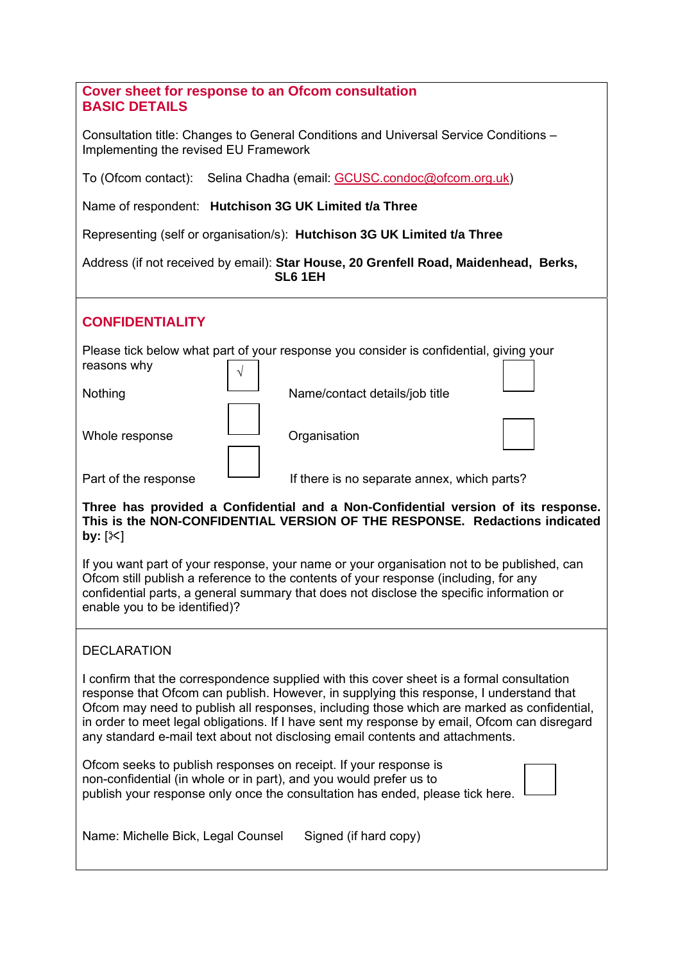| <b>Cover sheet for response to an Ofcom consultation</b><br><b>BASIC DETAILS</b>                                                                                                                                                                                                                                                                                                                                                                                    |
|---------------------------------------------------------------------------------------------------------------------------------------------------------------------------------------------------------------------------------------------------------------------------------------------------------------------------------------------------------------------------------------------------------------------------------------------------------------------|
| Consultation title: Changes to General Conditions and Universal Service Conditions -<br>Implementing the revised EU Framework                                                                                                                                                                                                                                                                                                                                       |
| To (Ofcom contact): Selina Chadha (email: GCUSC.condoc@ofcom.org.uk)                                                                                                                                                                                                                                                                                                                                                                                                |
| Name of respondent: Hutchison 3G UK Limited t/a Three                                                                                                                                                                                                                                                                                                                                                                                                               |
| Representing (self or organisation/s): Hutchison 3G UK Limited t/a Three                                                                                                                                                                                                                                                                                                                                                                                            |
| Address (if not received by email): Star House, 20 Grenfell Road, Maidenhead, Berks,<br>SL61EH                                                                                                                                                                                                                                                                                                                                                                      |
| <b>CONFIDENTIALITY</b>                                                                                                                                                                                                                                                                                                                                                                                                                                              |
| Please tick below what part of your response you consider is confidential, giving your<br>reasons why                                                                                                                                                                                                                                                                                                                                                               |
| Name/contact details/job title<br>Nothing                                                                                                                                                                                                                                                                                                                                                                                                                           |
| Whole response<br>Organisation                                                                                                                                                                                                                                                                                                                                                                                                                                      |
| Part of the response<br>If there is no separate annex, which parts?                                                                                                                                                                                                                                                                                                                                                                                                 |
| Three has provided a Confidential and a Non-Confidential version of its response.<br>This is the NON-CONFIDENTIAL VERSION OF THE RESPONSE. Redactions indicated<br>by: $[\times]$                                                                                                                                                                                                                                                                                   |
| If you want part of your response, your name or your organisation not to be published, can<br>Ofcom still publish a reference to the contents of your response (including, for any<br>confidential parts, a general summary that does not disclose the specific information or<br>enable you to be identified)?                                                                                                                                                     |
| <b>DECLARATION</b>                                                                                                                                                                                                                                                                                                                                                                                                                                                  |
| I confirm that the correspondence supplied with this cover sheet is a formal consultation<br>response that Ofcom can publish. However, in supplying this response, I understand that<br>Ofcom may need to publish all responses, including those which are marked as confidential,<br>in order to meet legal obligations. If I have sent my response by email, Ofcom can disregard<br>any standard e-mail text about not disclosing email contents and attachments. |
| Ofcom seeks to publish responses on receipt. If your response is<br>non-confidential (in whole or in part), and you would prefer us to<br>publish your response only once the consultation has ended, please tick here.                                                                                                                                                                                                                                             |
| Name: Michelle Bick, Legal Counsel<br>Signed (if hard copy)                                                                                                                                                                                                                                                                                                                                                                                                         |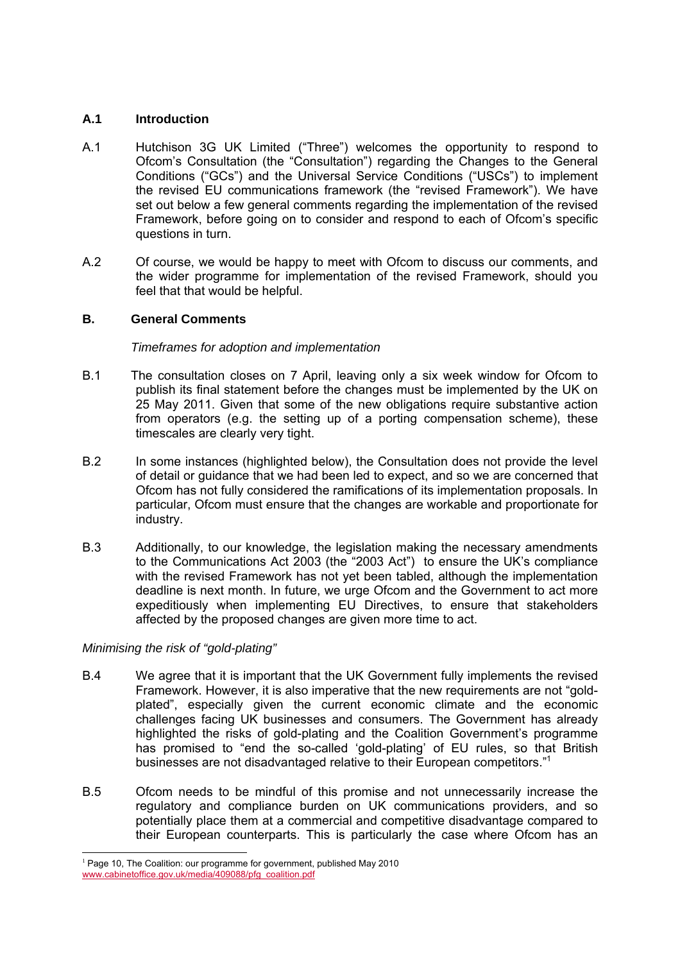## **A.1 Introduction**

- A.1 Hutchison 3G UK Limited ("Three") welcomes the opportunity to respond to Ofcom's Consultation (the "Consultation") regarding the Changes to the General Conditions ("GCs") and the Universal Service Conditions ("USCs") to implement the revised EU communications framework (the "revised Framework"). We have set out below a few general comments regarding the implementation of the revised Framework, before going on to consider and respond to each of Ofcom's specific questions in turn.
- A.2 Of course, we would be happy to meet with Ofcom to discuss our comments, and the wider programme for implementation of the revised Framework, should you feel that that would be helpful.

# **B. General Comments**

# *Timeframes for adoption and implementation*

- B.1 The consultation closes on 7 April, leaving only a six week window for Ofcom to publish its final statement before the changes must be implemented by the UK on 25 May 2011. Given that some of the new obligations require substantive action from operators (e.g. the setting up of a porting compensation scheme), these timescales are clearly very tight.
- B.2 In some instances (highlighted below), the Consultation does not provide the level of detail or guidance that we had been led to expect, and so we are concerned that Ofcom has not fully considered the ramifications of its implementation proposals. In particular, Ofcom must ensure that the changes are workable and proportionate for industry.
- B.3 Additionally, to our knowledge, the legislation making the necessary amendments to the Communications Act 2003 (the "2003 Act") to ensure the UK's compliance with the revised Framework has not yet been tabled, although the implementation deadline is next month. In future, we urge Ofcom and the Government to act more expeditiously when implementing EU Directives, to ensure that stakeholders affected by the proposed changes are given more time to act.

## *Minimising the risk of "gold-plating"*

- B.4 We agree that it is important that the UK Government fully implements the revised Framework. However, it is also imperative that the new requirements are not "goldplated", especially given the current economic climate and the economic challenges facing UK businesses and consumers. The Government has already highlighted the risks of gold-plating and the Coalition Government's programme has promised to "end the so-called 'gold-plating' of EU rules, so that British businesses are not disadvantaged relative to their European competitors."<sup>1</sup>
- B.5 Ofcom needs to be mindful of this promise and not unnecessarily increase the regulatory and compliance burden on UK communications providers, and so potentially place them at a commercial and competitive disadvantage compared to their European counterparts. This is particularly the case where Ofcom has an

  $1$  Page 10, The Coalition: our programme for government, published May 2010 www.cabinetoffice.gov.uk/media/409088/pfg\_coalition.pdf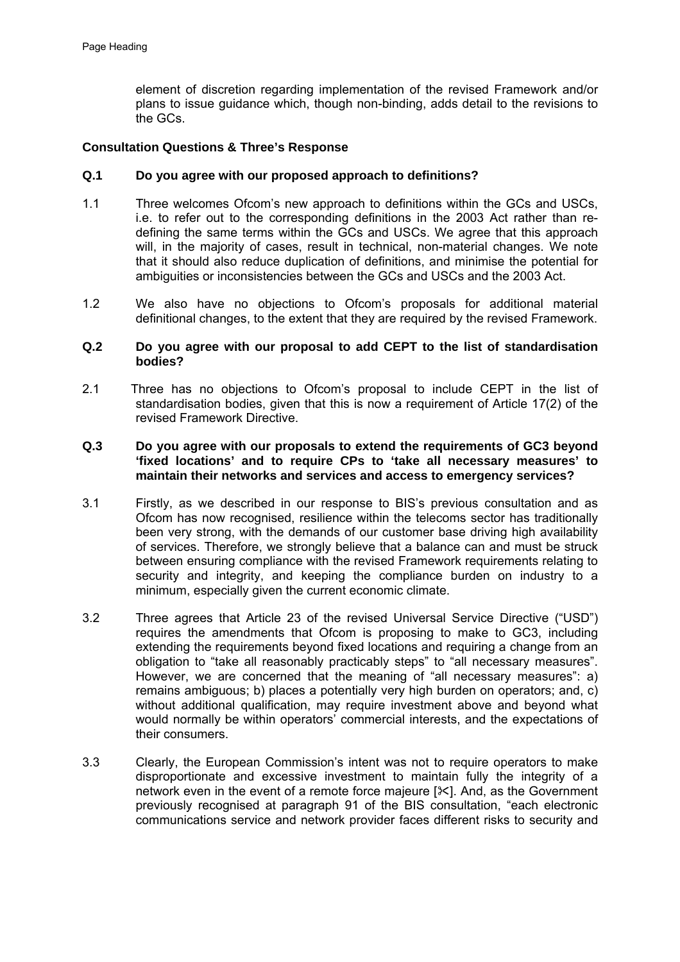element of discretion regarding implementation of the revised Framework and/or plans to issue guidance which, though non-binding, adds detail to the revisions to the GCs.

## **Consultation Questions & Three's Response**

## **Q.1 Do you agree with our proposed approach to definitions?**

- 1.1 Three welcomes Ofcom's new approach to definitions within the GCs and USCs, i.e. to refer out to the corresponding definitions in the 2003 Act rather than redefining the same terms within the GCs and USCs. We agree that this approach will, in the majority of cases, result in technical, non-material changes. We note that it should also reduce duplication of definitions, and minimise the potential for ambiguities or inconsistencies between the GCs and USCs and the 2003 Act.
- 1.2 We also have no objections to Ofcom's proposals for additional material definitional changes, to the extent that they are required by the revised Framework.

### **Q.2 Do you agree with our proposal to add CEPT to the list of standardisation bodies?**

2.1 Three has no objections to Ofcom's proposal to include CEPT in the list of standardisation bodies, given that this is now a requirement of Article 17(2) of the revised Framework Directive.

## **Q.3 Do you agree with our proposals to extend the requirements of GC3 beyond 'fixed locations' and to require CPs to 'take all necessary measures' to maintain their networks and services and access to emergency services?**

- 3.1 Firstly, as we described in our response to BIS's previous consultation and as Ofcom has now recognised, resilience within the telecoms sector has traditionally been very strong, with the demands of our customer base driving high availability of services. Therefore, we strongly believe that a balance can and must be struck between ensuring compliance with the revised Framework requirements relating to security and integrity, and keeping the compliance burden on industry to a minimum, especially given the current economic climate.
- 3.2 Three agrees that Article 23 of the revised Universal Service Directive ("USD") requires the amendments that Ofcom is proposing to make to GC3, including extending the requirements beyond fixed locations and requiring a change from an obligation to "take all reasonably practicably steps" to "all necessary measures". However, we are concerned that the meaning of "all necessary measures": a) remains ambiguous; b) places a potentially very high burden on operators; and, c) without additional qualification, may require investment above and beyond what would normally be within operators' commercial interests, and the expectations of their consumers.
- 3.3 Clearly, the European Commission's intent was not to require operators to make disproportionate and excessive investment to maintain fully the integrity of a network even in the event of a remote force majeure  $[\frac{1}{2}]$ . And, as the Government previously recognised at paragraph 91 of the BIS consultation, "each electronic communications service and network provider faces different risks to security and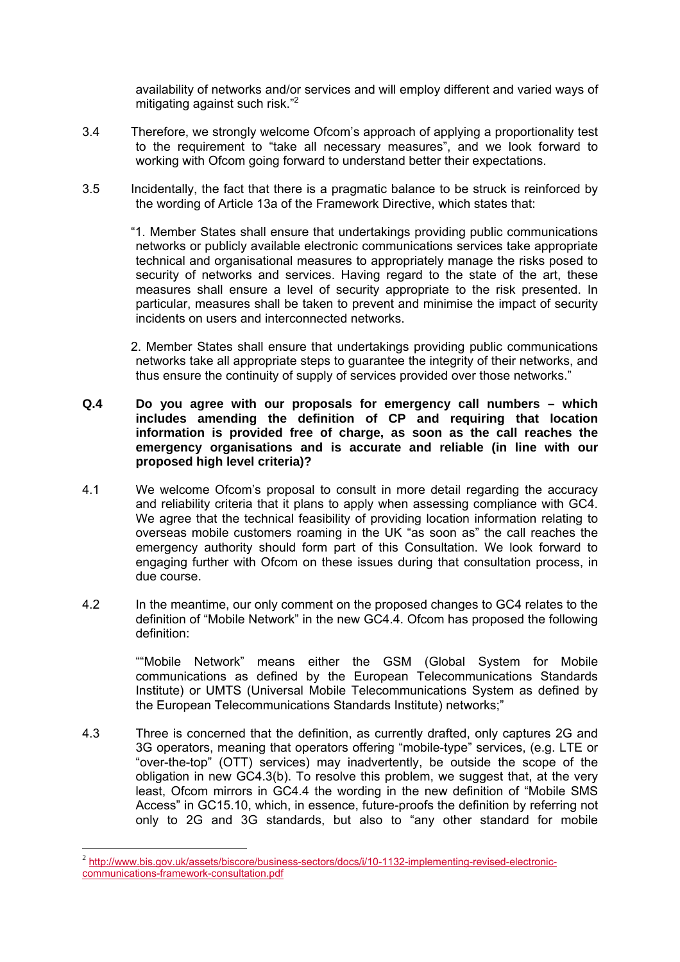availability of networks and/or services and will employ different and varied ways of mitigating against such risk."<sup>2</sup>

- 3.4 Therefore, we strongly welcome Ofcom's approach of applying a proportionality test to the requirement to "take all necessary measures", and we look forward to working with Ofcom going forward to understand better their expectations.
- 3.5 Incidentally, the fact that there is a pragmatic balance to be struck is reinforced by the wording of Article 13a of the Framework Directive, which states that:

 "1. Member States shall ensure that undertakings providing public communications networks or publicly available electronic communications services take appropriate technical and organisational measures to appropriately manage the risks posed to security of networks and services. Having regard to the state of the art, these measures shall ensure a level of security appropriate to the risk presented. In particular, measures shall be taken to prevent and minimise the impact of security incidents on users and interconnected networks.

 2. Member States shall ensure that undertakings providing public communications networks take all appropriate steps to guarantee the integrity of their networks, and thus ensure the continuity of supply of services provided over those networks."

## **Q.4 Do you agree with our proposals for emergency call numbers – which includes amending the definition of CP and requiring that location information is provided free of charge, as soon as the call reaches the emergency organisations and is accurate and reliable (in line with our proposed high level criteria)?**

- 4.1 We welcome Ofcom's proposal to consult in more detail regarding the accuracy and reliability criteria that it plans to apply when assessing compliance with GC4. We agree that the technical feasibility of providing location information relating to overseas mobile customers roaming in the UK "as soon as" the call reaches the emergency authority should form part of this Consultation. We look forward to engaging further with Ofcom on these issues during that consultation process, in due course.
- 4.2 In the meantime, our only comment on the proposed changes to GC4 relates to the definition of "Mobile Network" in the new GC4.4. Ofcom has proposed the following definition:

""Mobile Network" means either the GSM (Global System for Mobile communications as defined by the European Telecommunications Standards Institute) or UMTS (Universal Mobile Telecommunications System as defined by the European Telecommunications Standards Institute) networks;"

4.3 Three is concerned that the definition, as currently drafted, only captures 2G and 3G operators, meaning that operators offering "mobile-type" services, (e.g. LTE or "over-the-top" (OTT) services) may inadvertently, be outside the scope of the obligation in new GC4.3(b). To resolve this problem, we suggest that, at the very least, Ofcom mirrors in GC4.4 the wording in the new definition of "Mobile SMS Access" in GC15.10, which, in essence, future-proofs the definition by referring not only to 2G and 3G standards, but also to "any other standard for mobile

<sup>2</sup> http://www.bis.gov.uk/assets/biscore/business-sectors/docs/i/10-1132-implementing-revised-electroniccommunications-framework-consultation.pdf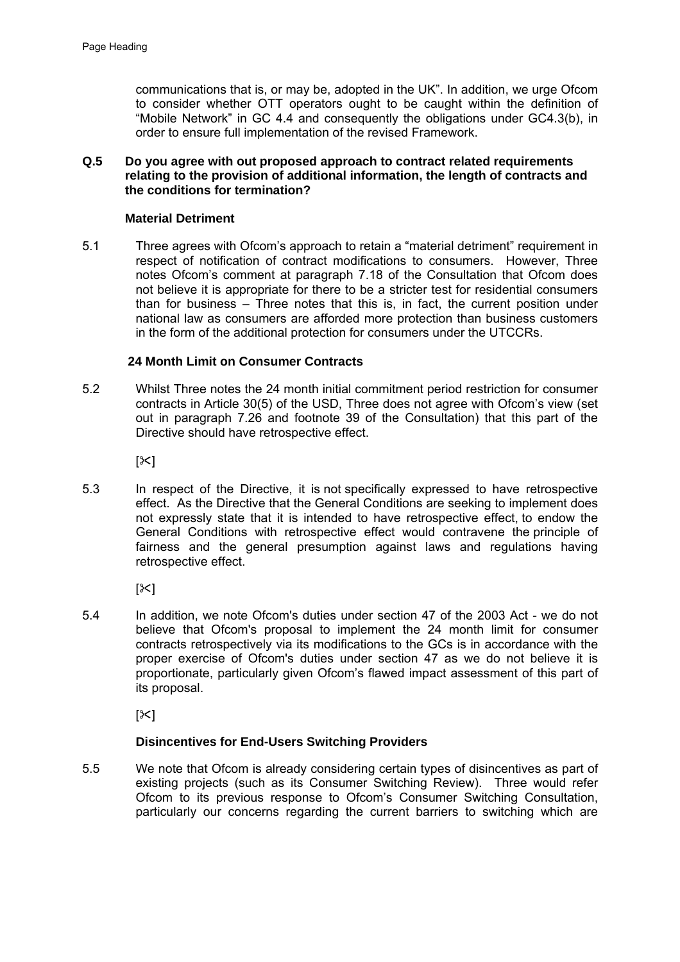communications that is, or may be, adopted in the UK". In addition, we urge Ofcom to consider whether OTT operators ought to be caught within the definition of "Mobile Network" in GC 4.4 and consequently the obligations under GC4.3(b), in order to ensure full implementation of the revised Framework.

## **Q.5 Do you agree with out proposed approach to contract related requirements relating to the provision of additional information, the length of contracts and the conditions for termination?**

## **Material Detriment**

5.1 Three agrees with Ofcom's approach to retain a "material detriment" requirement in respect of notification of contract modifications to consumers. However, Three notes Ofcom's comment at paragraph 7.18 of the Consultation that Ofcom does not believe it is appropriate for there to be a stricter test for residential consumers than for business – Three notes that this is, in fact, the current position under national law as consumers are afforded more protection than business customers in the form of the additional protection for consumers under the UTCCRs.

## **24 Month Limit on Consumer Contracts**

5.2 Whilst Three notes the 24 month initial commitment period restriction for consumer contracts in Article 30(5) of the USD, Three does not agree with Ofcom's view (set out in paragraph 7.26 and footnote 39 of the Consultation) that this part of the Directive should have retrospective effect.

 $[<]$ 

5.3 In respect of the Directive, it is not specifically expressed to have retrospective effect. As the Directive that the General Conditions are seeking to implement does not expressly state that it is intended to have retrospective effect, to endow the General Conditions with retrospective effect would contravene the principle of fairness and the general presumption against laws and regulations having retrospective effect.

 $[<]$ 

5.4 In addition, we note Ofcom's duties under section 47 of the 2003 Act - we do not believe that Ofcom's proposal to implement the 24 month limit for consumer contracts retrospectively via its modifications to the GCs is in accordance with the proper exercise of Ofcom's duties under section 47 as we do not believe it is proportionate, particularly given Ofcom's flawed impact assessment of this part of its proposal.

 $\mathsf{I} \times \mathsf{I}$ 

## **Disincentives for End-Users Switching Providers**

5.5 We note that Ofcom is already considering certain types of disincentives as part of existing projects (such as its Consumer Switching Review). Three would refer Ofcom to its previous response to Ofcom's Consumer Switching Consultation, particularly our concerns regarding the current barriers to switching which are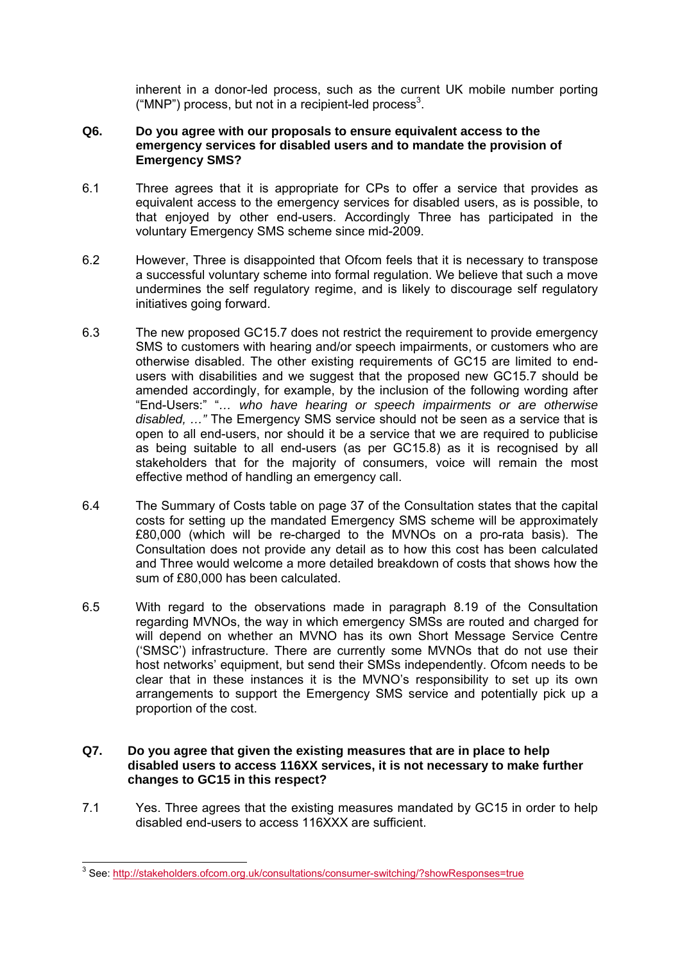inherent in a donor-led process, such as the current UK mobile number porting ("MNP") process, but not in a recipient-led process<sup>3</sup>.

## **Q6. Do you agree with our proposals to ensure equivalent access to the emergency services for disabled users and to mandate the provision of Emergency SMS?**

- 6.1 Three agrees that it is appropriate for CPs to offer a service that provides as equivalent access to the emergency services for disabled users, as is possible, to that enjoyed by other end-users. Accordingly Three has participated in the voluntary Emergency SMS scheme since mid-2009.
- 6.2 However, Three is disappointed that Ofcom feels that it is necessary to transpose a successful voluntary scheme into formal regulation. We believe that such a move undermines the self regulatory regime, and is likely to discourage self regulatory initiatives going forward.
- 6.3 The new proposed GC15.7 does not restrict the requirement to provide emergency SMS to customers with hearing and/or speech impairments, or customers who are otherwise disabled. The other existing requirements of GC15 are limited to endusers with disabilities and we suggest that the proposed new GC15.7 should be amended accordingly, for example, by the inclusion of the following wording after "End-Users:" "*… who have hearing or speech impairments or are otherwise disabled, …"* The Emergency SMS service should not be seen as a service that is open to all end-users, nor should it be a service that we are required to publicise as being suitable to all end-users (as per GC15.8) as it is recognised by all stakeholders that for the majority of consumers, voice will remain the most effective method of handling an emergency call.
- 6.4 The Summary of Costs table on page 37 of the Consultation states that the capital costs for setting up the mandated Emergency SMS scheme will be approximately £80,000 (which will be re-charged to the MVNOs on a pro-rata basis). The Consultation does not provide any detail as to how this cost has been calculated and Three would welcome a more detailed breakdown of costs that shows how the sum of £80,000 has been calculated.
- 6.5 With regard to the observations made in paragraph 8.19 of the Consultation regarding MVNOs, the way in which emergency SMSs are routed and charged for will depend on whether an MVNO has its own Short Message Service Centre ('SMSC') infrastructure. There are currently some MVNOs that do not use their host networks' equipment, but send their SMSs independently. Ofcom needs to be clear that in these instances it is the MVNO's responsibility to set up its own arrangements to support the Emergency SMS service and potentially pick up a proportion of the cost.

## **Q7. Do you agree that given the existing measures that are in place to help disabled users to access 116XX services, it is not necessary to make further changes to GC15 in this respect?**

7.1 Yes. Three agrees that the existing measures mandated by GC15 in order to help disabled end-users to access 116XXX are sufficient.

 3 See: http://stakeholders.ofcom.org.uk/consultations/consumer-switching/?showResponses=true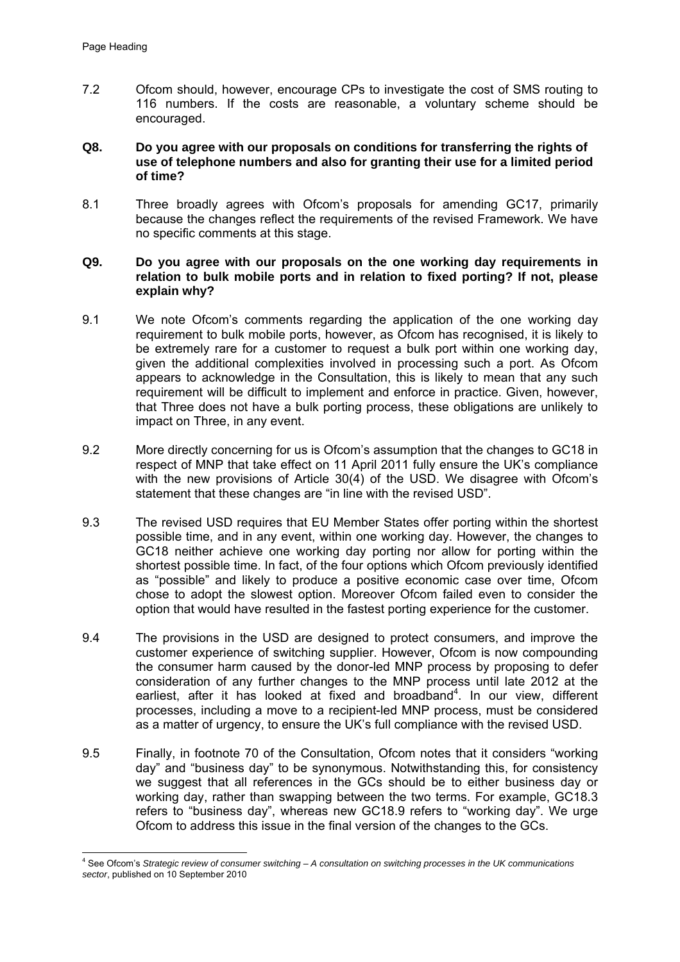7.2 Ofcom should, however, encourage CPs to investigate the cost of SMS routing to 116 numbers. If the costs are reasonable, a voluntary scheme should be encouraged.

## **Q8. Do you agree with our proposals on conditions for transferring the rights of use of telephone numbers and also for granting their use for a limited period of time?**

8.1 Three broadly agrees with Ofcom's proposals for amending GC17, primarily because the changes reflect the requirements of the revised Framework. We have no specific comments at this stage.

## **Q9. Do you agree with our proposals on the one working day requirements in relation to bulk mobile ports and in relation to fixed porting? If not, please explain why?**

- 9.1 We note Ofcom's comments regarding the application of the one working day requirement to bulk mobile ports, however, as Ofcom has recognised, it is likely to be extremely rare for a customer to request a bulk port within one working day, given the additional complexities involved in processing such a port. As Ofcom appears to acknowledge in the Consultation, this is likely to mean that any such requirement will be difficult to implement and enforce in practice. Given, however, that Three does not have a bulk porting process, these obligations are unlikely to impact on Three, in any event.
- 9.2 More directly concerning for us is Ofcom's assumption that the changes to GC18 in respect of MNP that take effect on 11 April 2011 fully ensure the UK's compliance with the new provisions of Article 30(4) of the USD. We disagree with Ofcom's statement that these changes are "in line with the revised USD".
- 9.3 The revised USD requires that EU Member States offer porting within the shortest possible time, and in any event, within one working day. However, the changes to GC18 neither achieve one working day porting nor allow for porting within the shortest possible time. In fact, of the four options which Ofcom previously identified as "possible" and likely to produce a positive economic case over time, Ofcom chose to adopt the slowest option. Moreover Ofcom failed even to consider the option that would have resulted in the fastest porting experience for the customer.
- 9.4 The provisions in the USD are designed to protect consumers, and improve the customer experience of switching supplier. However, Ofcom is now compounding the consumer harm caused by the donor-led MNP process by proposing to defer consideration of any further changes to the MNP process until late 2012 at the earliest, after it has looked at fixed and broadband<sup>4</sup>. In our view, different processes, including a move to a recipient-led MNP process, must be considered as a matter of urgency, to ensure the UK's full compliance with the revised USD.
- 9.5 Finally, in footnote 70 of the Consultation, Ofcom notes that it considers "working day" and "business day" to be synonymous. Notwithstanding this, for consistency we suggest that all references in the GCs should be to either business day or working day, rather than swapping between the two terms. For example, GC18.3 refers to "business day", whereas new GC18.9 refers to "working day". We urge Ofcom to address this issue in the final version of the changes to the GCs.

 4 See Ofcom's *Strategic review of consumer switching – A consultation on switching processes in the UK communications sector*, published on 10 September 2010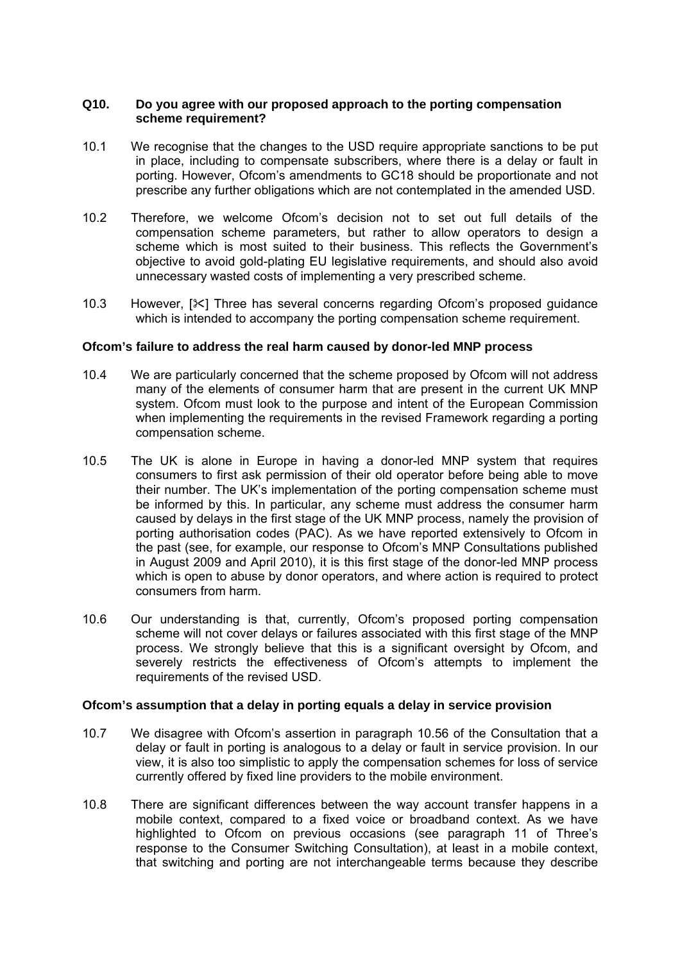### **Q10. Do you agree with our proposed approach to the porting compensation scheme requirement?**

- 10.1 We recognise that the changes to the USD require appropriate sanctions to be put in place, including to compensate subscribers, where there is a delay or fault in porting. However, Ofcom's amendments to GC18 should be proportionate and not prescribe any further obligations which are not contemplated in the amended USD.
- 10.2 Therefore, we welcome Ofcom's decision not to set out full details of the compensation scheme parameters, but rather to allow operators to design a scheme which is most suited to their business. This reflects the Government's objective to avoid gold-plating EU legislative requirements, and should also avoid unnecessary wasted costs of implementing a very prescribed scheme.
- 10.3 However, [ $\frac{3}{5}$ ] Three has several concerns regarding Ofcom's proposed guidance which is intended to accompany the porting compensation scheme requirement.

## **Ofcom's failure to address the real harm caused by donor-led MNP process**

- 10.4 We are particularly concerned that the scheme proposed by Ofcom will not address many of the elements of consumer harm that are present in the current UK MNP system. Ofcom must look to the purpose and intent of the European Commission when implementing the requirements in the revised Framework regarding a porting compensation scheme.
- 10.5 The UK is alone in Europe in having a donor-led MNP system that requires consumers to first ask permission of their old operator before being able to move their number. The UK's implementation of the porting compensation scheme must be informed by this. In particular, any scheme must address the consumer harm caused by delays in the first stage of the UK MNP process, namely the provision of porting authorisation codes (PAC). As we have reported extensively to Ofcom in the past (see, for example, our response to Ofcom's MNP Consultations published in August 2009 and April 2010), it is this first stage of the donor-led MNP process which is open to abuse by donor operators, and where action is required to protect consumers from harm.
- 10.6 Our understanding is that, currently, Ofcom's proposed porting compensation scheme will not cover delays or failures associated with this first stage of the MNP process. We strongly believe that this is a significant oversight by Ofcom, and severely restricts the effectiveness of Ofcom's attempts to implement the requirements of the revised USD.

### **Ofcom's assumption that a delay in porting equals a delay in service provision**

- 10.7 We disagree with Ofcom's assertion in paragraph 10.56 of the Consultation that a delay or fault in porting is analogous to a delay or fault in service provision. In our view, it is also too simplistic to apply the compensation schemes for loss of service currently offered by fixed line providers to the mobile environment.
- 10.8 There are significant differences between the way account transfer happens in a mobile context, compared to a fixed voice or broadband context. As we have highlighted to Ofcom on previous occasions (see paragraph 11 of Three's response to the Consumer Switching Consultation), at least in a mobile context, that switching and porting are not interchangeable terms because they describe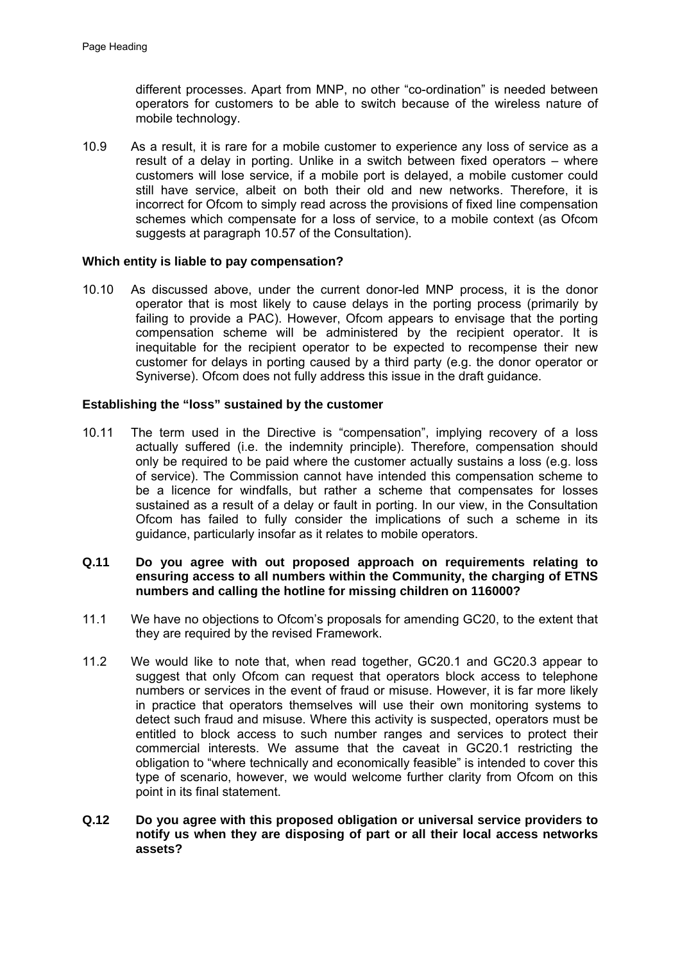different processes. Apart from MNP, no other "co-ordination" is needed between operators for customers to be able to switch because of the wireless nature of mobile technology.

10.9 As a result, it is rare for a mobile customer to experience any loss of service as a result of a delay in porting. Unlike in a switch between fixed operators – where customers will lose service, if a mobile port is delayed, a mobile customer could still have service, albeit on both their old and new networks. Therefore, it is incorrect for Ofcom to simply read across the provisions of fixed line compensation schemes which compensate for a loss of service, to a mobile context (as Ofcom suggests at paragraph 10.57 of the Consultation).

### **Which entity is liable to pay compensation?**

10.10 As discussed above, under the current donor-led MNP process, it is the donor operator that is most likely to cause delays in the porting process (primarily by failing to provide a PAC). However, Ofcom appears to envisage that the porting compensation scheme will be administered by the recipient operator. It is inequitable for the recipient operator to be expected to recompense their new customer for delays in porting caused by a third party (e.g. the donor operator or Syniverse). Ofcom does not fully address this issue in the draft guidance.

#### **Establishing the "loss" sustained by the customer**

10.11 The term used in the Directive is "compensation", implying recovery of a loss actually suffered (i.e. the indemnity principle). Therefore, compensation should only be required to be paid where the customer actually sustains a loss (e.g. loss of service). The Commission cannot have intended this compensation scheme to be a licence for windfalls, but rather a scheme that compensates for losses sustained as a result of a delay or fault in porting. In our view, in the Consultation Ofcom has failed to fully consider the implications of such a scheme in its guidance, particularly insofar as it relates to mobile operators.

## **Q.11 Do you agree with out proposed approach on requirements relating to ensuring access to all numbers within the Community, the charging of ETNS numbers and calling the hotline for missing children on 116000?**

- 11.1 We have no objections to Ofcom's proposals for amending GC20, to the extent that they are required by the revised Framework.
- 11.2 We would like to note that, when read together, GC20.1 and GC20.3 appear to suggest that only Ofcom can request that operators block access to telephone numbers or services in the event of fraud or misuse. However, it is far more likely in practice that operators themselves will use their own monitoring systems to detect such fraud and misuse. Where this activity is suspected, operators must be entitled to block access to such number ranges and services to protect their commercial interests. We assume that the caveat in GC20.1 restricting the obligation to "where technically and economically feasible" is intended to cover this type of scenario, however, we would welcome further clarity from Ofcom on this point in its final statement.
- **Q.12 Do you agree with this proposed obligation or universal service providers to notify us when they are disposing of part or all their local access networks assets?**